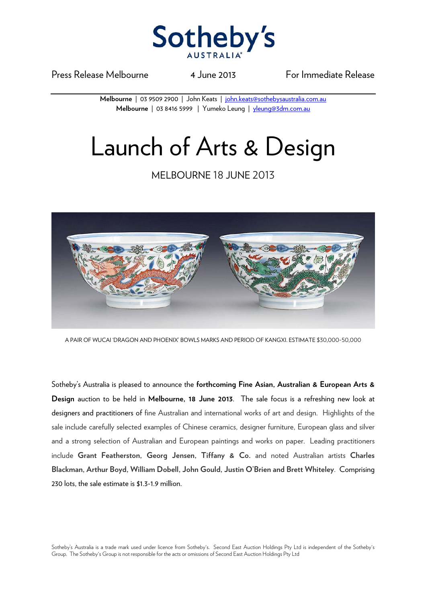

Press Release Melbourne 14 June 2013 For Immediate Release

**Melbourne** | 03 9509 2900 | John Keats | john.keats@sothebysaustralia.com.au **Melbourne** | 03 8416 5999 | Yumeko Leung | yleung@3dm.com.au

## Launch of Arts & Design

## MELBOURNE 18 JUNE 2013



A PAIR OF WUCAI 'DRAGON AND PHOENIX' BOWLS MARKS AND PERIOD OF KANGXI. ESTIMATE \$30,000-50,000

Sotheby's Australia is pleased to announce the **forthcoming Fine Asian, Australian & European Arts & Design** auction to be held in **Melbourne, 18 June 2013**. The sale focus is a refreshing new look at designers and practitioners of fine Australian and international works of art and design. Highlights of the sale include carefully selected examples of Chinese ceramics, designer furniture, European glass and silver and a strong selection of Australian and European paintings and works on paper. Leading practitioners include **Grant Featherston, Georg Jensen, Tiffany & Co.** and noted Australian artists **Charles Blackman, Arthur Boyd, William Dobell, John Gould, Justin O'Brien and Brett Whiteley**. Comprising 230 lots, the sale estimate is \$1.3-1.9 million.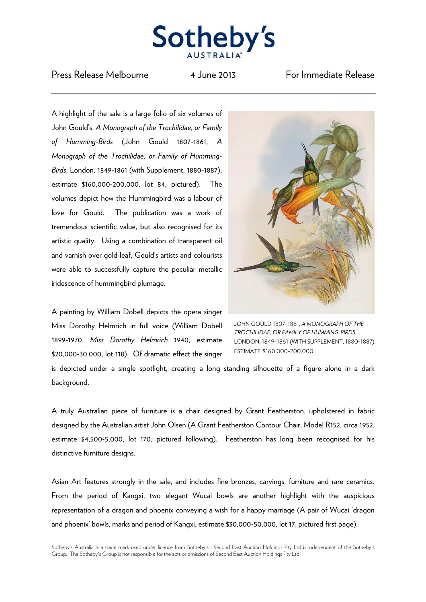

## Press Release Melbourne 14 June 2013 For Immediate Release

A highlight of the sale is a large folio of six volumes of John Gould's, *A Monograph of the Trochilidae, or Family of Humming-Birds* (John Gould 1807-1861, *A Monograph of the Trochilidae, or Family of Humming-Birds*, London, 1849-1861 (with Supplement, 1880-1887), estimate \$160,000-200,000, lot 84, pictured). The volumes depict how the Hummingbird was a labour of love for Gould. The publication was a work of tremendous scientific value, but also recognised for its artistic quality. Using a combination of transparent oil and varnish over gold leaf, Gould's artists and colourists were able to successfully capture the peculiar metallic iridescence of hummingbird plumage.

A painting by William Dobell depicts the opera singer Miss Dorothy Helmrich in full voice (William Dobell 1899-1970, *Miss Dorothy Helmrich* 1940, estimate \$20,000-30,000, lot 118). Of dramatic effect the singer



JOHN GOULD 1807-1861, *A MONOGRAPH OF THE TROCHILIDAE, OR FAMILY OF HUMMING-BIRDS*, LONDON, 1849-1861 (WITH SUPPLEMENT, 1880-1887), ESTIMATE \$160,000-200,000

is depicted under a single spotlight, creating a long standing silhouette of a figure alone in a dark background.

A truly Australian piece of furniture is a chair designed by Grant Featherston, upholstered in fabric designed by the Australian artist John Olsen (A Grant Featherston Contour Chair, Model R152, circa 1952, estimate \$4,500-5,000, lot 170, pictured following). Featherston has long been recognised for his distinctive furniture designs.

Asian Art features strongly in the sale, and includes fine bronzes, carvings, furniture and rare ceramics. From the period of Kangxi, two elegant Wucai bowls are another highlight with the auspicious representation of a dragon and phoenix conveying a wish for a happy marriage (A pair of Wucai 'dragon and phoenix' bowls, marks and period of Kangxi, estimate \$30,000-50,000, lot 17, pictured first page).